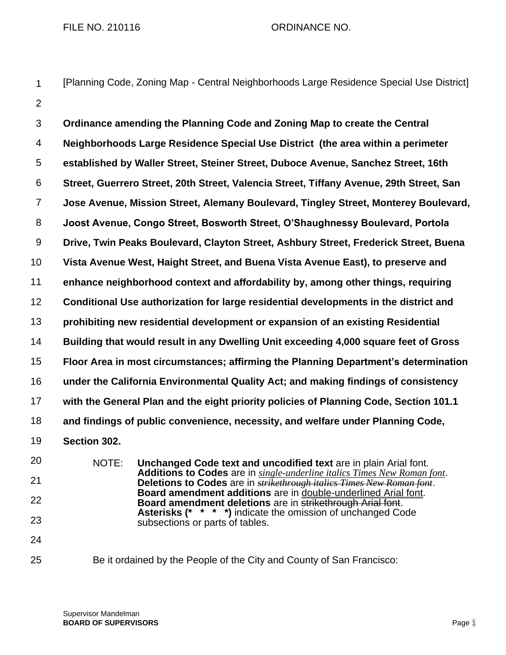## FILE NO. 210116 CRDINANCE NO.

[Planning Code, Zoning Map - Central Neighborhoods Large Residence Special Use District]

1

2 3 4 5 6 7 8 9 10 11 12 13 14 15 16 17 18 19 20 21 22 23 24 **Ordinance amending the Planning Code and Zoning Map to create the Central Neighborhoods Large Residence Special Use District (the area within a perimeter established by Waller Street, Steiner Street, Duboce Avenue, Sanchez Street, 16th Street, Guerrero Street, 20th Street, Valencia Street, Tiffany Avenue, 29th Street, San Jose Avenue, Mission Street, Alemany Boulevard, Tingley Street, Monterey Boulevard, Joost Avenue, Congo Street, Bosworth Street, O'Shaughnessy Boulevard, Portola Drive, Twin Peaks Boulevard, Clayton Street, Ashbury Street, Frederick Street, Buena Vista Avenue West, Haight Street, and Buena Vista Avenue East), to preserve and enhance neighborhood context and affordability by, among other things, requiring Conditional Use authorization for large residential developments in the district and prohibiting new residential development or expansion of an existing Residential Building that would result in any Dwelling Unit exceeding 4,000 square feet of Gross Floor Area in most circumstances; affirming the Planning Department's determination under the California Environmental Quality Act; and making findings of consistency with the General Plan and the eight priority policies of Planning Code, Section 101.1 and findings of public convenience, necessity, and welfare under Planning Code, Section 302.** NOTE: **Unchanged Code text and uncodified text** are in plain Arial font. **Additions to Codes** are in *single-underline italics Times New Roman font*. **Deletions to Codes** are in *strikethrough italics Times New Roman font*. **Board amendment additions** are in double-underlined Arial font. **Board amendment deletions** are in strikethrough Arial font. **Asterisks (\* \* \* \*)** indicate the omission of unchanged Code subsections or parts of tables.

25 Be it ordained by the People of the City and County of San Francisco: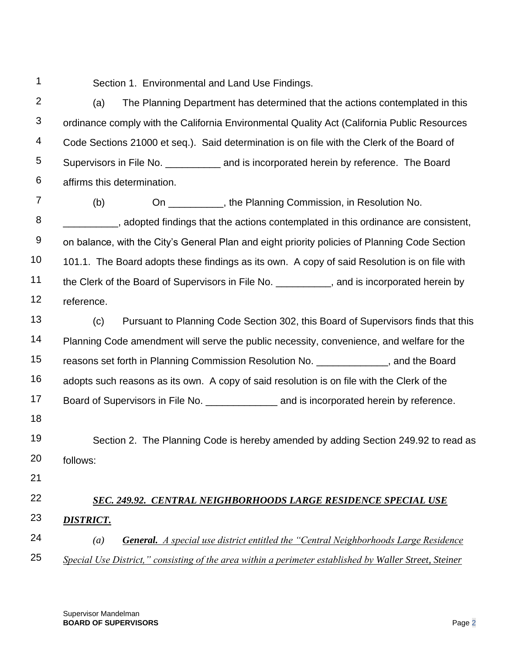1

Section 1. Environmental and Land Use Findings.

2 3 4 5 6 (a) The Planning Department has determined that the actions contemplated in this ordinance comply with the California Environmental Quality Act (California Public Resources Code Sections 21000 et seq.). Said determination is on file with the Clerk of the Board of Supervisors in File No. \_\_\_\_\_\_\_\_\_\_ and is incorporated herein by reference. The Board affirms this determination.

7 8 9 10 11 12 (b) On \_\_\_\_\_\_\_\_\_\_, the Planning Commission, in Resolution No. \_\_\_\_\_\_\_\_\_\_, adopted findings that the actions contemplated in this ordinance are consistent, on balance, with the City's General Plan and eight priority policies of Planning Code Section 101.1. The Board adopts these findings as its own. A copy of said Resolution is on file with the Clerk of the Board of Supervisors in File No. \_\_\_\_\_\_\_\_\_\_, and is incorporated herein by reference.

13 14 15 16 17 18 19 (c) Pursuant to Planning Code Section 302, this Board of Supervisors finds that this Planning Code amendment will serve the public necessity, convenience, and welfare for the reasons set forth in Planning Commission Resolution No. \_\_\_\_\_\_\_\_\_\_\_\_\_, and the Board adopts such reasons as its own. A copy of said resolution is on file with the Clerk of the Board of Supervisors in File No. \_\_\_\_\_\_\_\_\_\_\_\_\_\_\_\_\_\_\_\_\_\_\_ and is incorporated herein by reference.

20 Section 2. The Planning Code is hereby amended by adding Section 249.92 to read as follows:

21

## 22 *SEC. 249.92. CENTRAL NEIGHBORHOODS LARGE RESIDENCE SPECIAL USE*

- 23 *DISTRICT.*
- 24 25 *(a) General. A special use district entitled the "Central Neighborhoods Large Residence Special Use District," consisting of the area within a perimeter established by Waller Street, Steiner*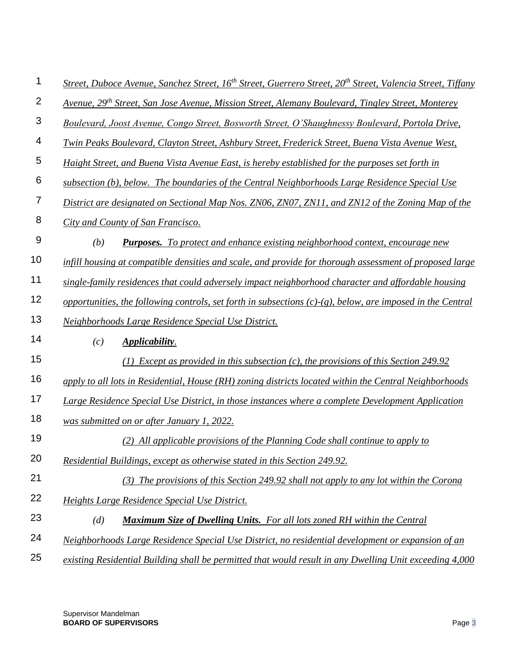| 1                         | Street, Duboce Avenue, Sanchez Street, 16 <sup>th</sup> Street, Guerrero Street, 20 <sup>th</sup> Street, Valencia Street, Tiffany |
|---------------------------|------------------------------------------------------------------------------------------------------------------------------------|
| $\mathbf{2}$              | Avenue, 29 <sup>th</sup> Street, San Jose Avenue, Mission Street, Alemany Boulevard, Tingley Street, Monterey                      |
| $\ensuremath{\mathsf{3}}$ | Boulevard, Joost Avenue, Congo Street, Bosworth Street, O'Shaughnessy Boulevard, Portola Drive,                                    |
| 4                         | Twin Peaks Boulevard, Clayton Street, Ashbury Street, Frederick Street, Buena Vista Avenue West,                                   |
| 5                         | Haight Street, and Buena Vista Avenue East, is hereby established for the purposes set forth in                                    |
| $\,6$                     | subsection (b), below. The boundaries of the Central Neighborhoods Large Residence Special Use                                     |
| $\overline{7}$            | District are designated on Sectional Map Nos. ZN06, ZN07, ZN11, and ZN12 of the Zoning Map of the                                  |
| 8                         | City and County of San Francisco.                                                                                                  |
| $9$                       | (b)<br><b>Purposes.</b> To protect and enhance existing neighborhood context, encourage new                                        |
| 10                        | infill housing at compatible densities and scale, and provide for thorough assessment of proposed large                            |
| 11                        | single-family residences that could adversely impact neighborhood character and affordable housing                                 |
| 12                        | opportunities, the following controls, set forth in subsections $(c)-(g)$ , below, are imposed in the Central                      |
| 13                        | Neighborhoods Large Residence Special Use District.                                                                                |
| 14                        | Applicability.<br>(c)                                                                                                              |
| 15                        | <i>Except as provided in this subsection (c), the provisions of this Section 249.92</i>                                            |
| 16                        | apply to all lots in Residential, House (RH) zoning districts located within the Central Neighborhoods                             |
| 17                        | Large Residence Special Use District, in those instances where a complete Development Application                                  |
| 18                        | was submitted on or after January 1, 2022.                                                                                         |
| 19                        | (2) All applicable provisions of the Planning Code shall continue to apply to                                                      |
| 20                        | Residential Buildings, except as otherwise stated in this Section 249.92.                                                          |
| 21                        | $(3)$ The provisions of this Section 249.92 shall not apply to any lot within the Corona                                           |
| 22                        | Heights Large Residence Special Use District.                                                                                      |
| 23                        | <b>Maximum Size of Dwelling Units.</b> For all lots zoned RH within the Central<br>(d)                                             |
| 24                        | Neighborhoods Large Residence Special Use District, no residential development or expansion of an                                  |
| 25                        | existing Residential Building shall be permitted that would result in any Dwelling Unit exceeding 4,000                            |

Supervisor Mandelman **BOARD OF SUPERVISORS** Page 3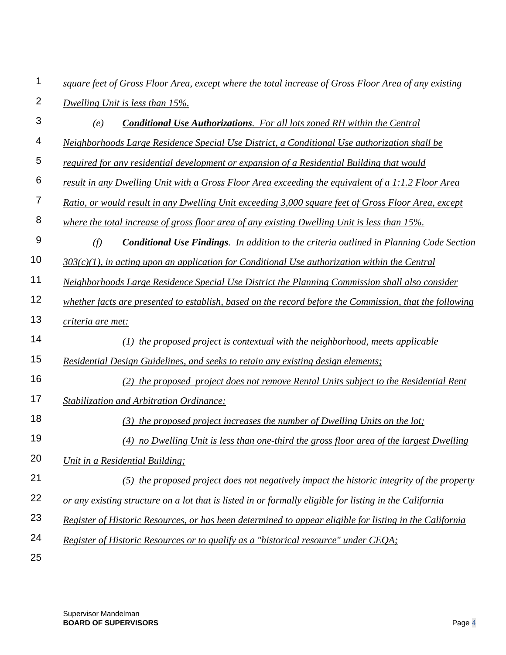| 1              | square feet of Gross Floor Area, except where the total increase of Gross Floor Area of any existing    |
|----------------|---------------------------------------------------------------------------------------------------------|
| $\overline{2}$ | Dwelling Unit is less than 15%.                                                                         |
| $\mathfrak{S}$ | Conditional Use Authorizations. For all lots zoned RH within the Central<br>(e)                         |
| 4              | Neighborhoods Large Residence Special Use District, a Conditional Use authorization shall be            |
| 5              | required for any residential development or expansion of a Residential Building that would              |
| 6              | result in any Dwelling Unit with a Gross Floor Area exceeding the equivalent of a 1:1.2 Floor Area      |
| $\overline{7}$ | Ratio, or would result in any Dwelling Unit exceeding 3,000 square feet of Gross Floor Area, except     |
| 8              | where the total increase of gross floor area of any existing Dwelling Unit is less than 15%.            |
| $9\,$          | (f)<br><b>Conditional Use Findings.</b> In addition to the criteria outlined in Planning Code Section   |
| 10             | $303(c)(1)$ , in acting upon an application for Conditional Use authorization within the Central        |
| 11             | Neighborhoods Large Residence Special Use District the Planning Commission shall also consider          |
| 12             | whether facts are presented to establish, based on the record before the Commission, that the following |
| 13             | criteria are met:                                                                                       |
| 14             | $(1)$ the proposed project is contextual with the neighborhood, meets applicable                        |
| 15             | Residential Design Guidelines, and seeks to retain any existing design elements;                        |
| 16             | (2) the proposed project does not remove Rental Units subject to the Residential Rent                   |
| 17             | Stabilization and Arbitration Ordinance;                                                                |
| 18             | (3) the proposed project increases the number of Dwelling Units on the lot;                             |
| 19             | (4) no Dwelling Unit is less than one-third the gross floor area of the largest Dwelling                |
| 20             | Unit in a Residential Building;                                                                         |
| 21             | (5) the proposed project does not negatively impact the historic integrity of the property              |
| 22             | or any existing structure on a lot that is listed in or formally eligible for listing in the California |
| 23             | Register of Historic Resources, or has been determined to appear eligible for listing in the California |
| 24             | Register of Historic Resources or to qualify as a "historical resource" under CEQA:                     |
| 25             |                                                                                                         |

Supervisor Mandelman **BOARD OF SUPERVISORS** Page 4